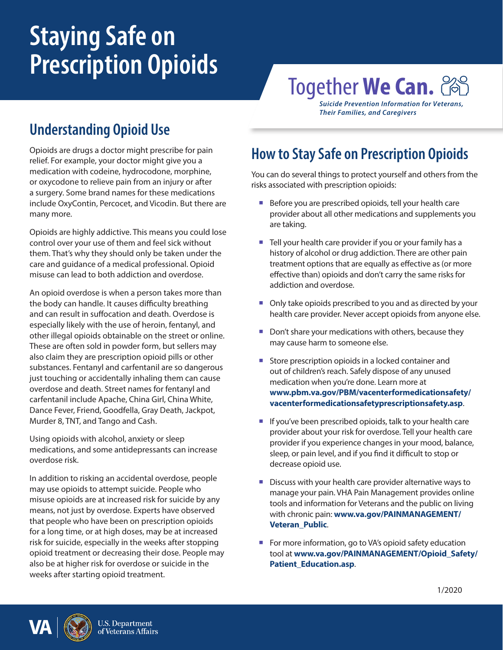# **Staying Safe on Prescription Opioids**

## **Together We Can.** 2

*Suicide Prevention Information for Veterans, Their Families, and Caregivers*

## **Understanding Opioid Use**

Opioids are drugs a doctor might prescribe for pain relief. For example, your doctor might give you a medication with codeine, hydrocodone, morphine, or oxycodone to relieve pain from an injury or after a surgery. Some brand names for these medications include OxyContin, Percocet, and Vicodin. But there are many more.

Opioids are highly addictive. This means you could lose control over your use of them and feel sick without them. That's why they should only be taken under the care and guidance of a medical professional. Opioid misuse can lead to both addiction and overdose.

An opioid overdose is when a person takes more than the body can handle. It causes difficulty breathing and can result in suffocation and death. Overdose is especially likely with the use of heroin, fentanyl, and other illegal opioids obtainable on the street or online. These are often sold in powder form, but sellers may also claim they are prescription opioid pills or other substances. Fentanyl and carfentanil are so dangerous just touching or accidentally inhaling them can cause overdose and death. Street names for fentanyl and carfentanil include Apache, China Girl, China White, Dance Fever, Friend, Goodfella, Gray Death, Jackpot, Murder 8, TNT, and Tango and Cash.

Using opioids with alcohol, anxiety or sleep medications, and some antidepressants can increase overdose risk.

In addition to risking an accidental overdose, people may use opioids to attempt suicide. People who misuse opioids are at increased risk for suicide by any means, not just by overdose. Experts have observed that people who have been on prescription opioids for a long time, or at high doses, may be at increased risk for suicide, especially in the weeks after stopping opioid treatment or decreasing their dose. People may also be at higher risk for overdose or suicide in the weeks after starting opioid treatment.

## **How to Stay Safe on Prescription Opioids**

You can do several things to protect yourself and others from the risks associated with prescription opioids:

- Before you are prescribed opioids, tell your health care provider about all other medications and supplements you are taking.
- Tell your health care provider if you or your family has a history of alcohol or drug addiction. There are other pain treatment options that are equally as effective as (or more effective than) opioids and don't carry the same risks for addiction and overdose.
- Only take opioids prescribed to you and as directed by your health care provider. Never accept opioids from anyone else.
- Don't share your medications with others, because they may cause harm to someone else.
- Store prescription opioids in a locked container and out of children's reach. Safely dispose of any unused medication when you're done. Learn more at **[www.pbm.va.gov/PBM/vacenterformedicationsafety/](http://www.pbm.va.gov/PBM/vacenterformedicationsafety/vacenterformedicationsafetyprescriptionsafety.asp) [vacenterformedicationsafetyprescriptionsafety.asp](http://www.pbm.va.gov/PBM/vacenterformedicationsafety/vacenterformedicationsafetyprescriptionsafety.asp)**.
- $\blacksquare$  If you've been prescribed opioids, talk to your health care provider about your risk for overdose. Tell your health care provider if you experience changes in your mood, balance, sleep, or pain level, and if you find it difficult to stop or decrease opioid use.
- Discuss with your health care provider alternative ways to manage your pain. VHA Pain Management provides online tools and information for Veterans and the public on living with chronic pain: **[www.va.gov/PAINMANAGEMENT/](http://www.va.gov/PAINMANAGEMENT/Veteran_Public) [Veteran\\_Public](http://www.va.gov/PAINMANAGEMENT/Veteran_Public)**.
- For more information, go to VA's opioid safety education tool at **[www.va.gov/PAINMANAGEMENT/Opioid\\_Safety/](http://www.va.gov/PAINMANAGEMENT/Opioid_Safety/Patient_Education.asp) [Patient\\_Education.asp](http://www.va.gov/PAINMANAGEMENT/Opioid_Safety/Patient_Education.asp)**.